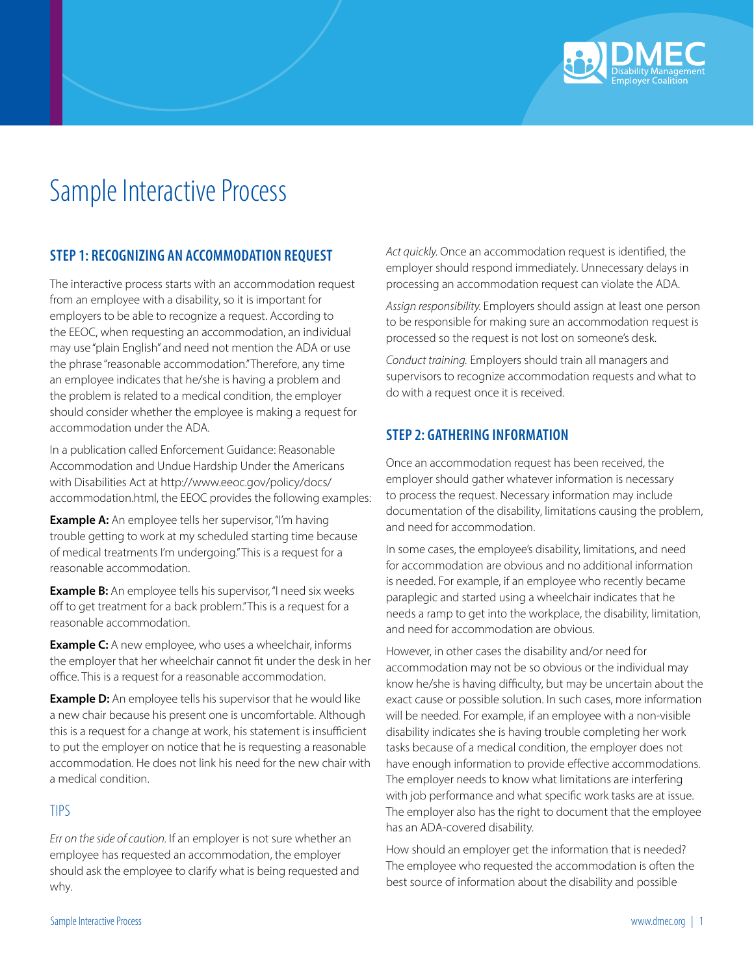

# Sample Interactive Process

# **STEP 1: RECOGNIZING AN ACCOMMODATION REQUEST**

The interactive process starts with an accommodation request from an employee with a disability, so it is important for employers to be able to recognize a request. According to the EEOC, when requesting an accommodation, an individual may use "plain English" and need not mention the ADA or use the phrase "reasonable accommodation." Therefore, any time an employee indicates that he/she is having a problem and the problem is related to a medical condition, the employer should consider whether the employee is making a request for accommodation under the ADA.

In a publication called Enforcement Guidance: Reasonable Accommodation and Undue Hardship Under the Americans with Disabilities Act at http://www.eeoc.gov/policy/docs/ accommodation.html, the EEOC provides the following examples:

**Example A:** An employee tells her supervisor, "I'm having trouble getting to work at my scheduled starting time because of medical treatments I'm undergoing." This is a request for a reasonable accommodation.

**Example B:** An employee tells his supervisor, "I need six weeks off to get treatment for a back problem." This is a request for a reasonable accommodation.

**Example C:** A new employee, who uses a wheelchair, informs the employer that her wheelchair cannot fit under the desk in her office. This is a request for a reasonable accommodation.

**Example D:** An employee tells his supervisor that he would like a new chair because his present one is uncomfortable. Although this is a request for a change at work, his statement is insufficient to put the employer on notice that he is requesting a reasonable accommodation. He does not link his need for the new chair with a medical condition.

#### TIPS

*Err on the side of caution.* If an employer is not sure whether an employee has requested an accommodation, the employer should ask the employee to clarify what is being requested and why.

*Act quickly.* Once an accommodation request is identified, the employer should respond immediately. Unnecessary delays in processing an accommodation request can violate the ADA.

*Assign responsibility.* Employers should assign at least one person to be responsible for making sure an accommodation request is processed so the request is not lost on someone's desk.

*Conduct training.* Employers should train all managers and supervisors to recognize accommodation requests and what to do with a request once it is received.

# **STEP 2: GATHERING INFORMATION**

Once an accommodation request has been received, the employer should gather whatever information is necessary to process the request. Necessary information may include documentation of the disability, limitations causing the problem, and need for accommodation.

In some cases, the employee's disability, limitations, and need for accommodation are obvious and no additional information is needed. For example, if an employee who recently became paraplegic and started using a wheelchair indicates that he needs a ramp to get into the workplace, the disability, limitation, and need for accommodation are obvious.

However, in other cases the disability and/or need for accommodation may not be so obvious or the individual may know he/she is having difficulty, but may be uncertain about the exact cause or possible solution. In such cases, more information will be needed. For example, if an employee with a non-visible disability indicates she is having trouble completing her work tasks because of a medical condition, the employer does not have enough information to provide effective accommodations. The employer needs to know what limitations are interfering with job performance and what specific work tasks are at issue. The employer also has the right to document that the employee has an ADA-covered disability.

How should an employer get the information that is needed? The employee who requested the accommodation is often the best source of information about the disability and possible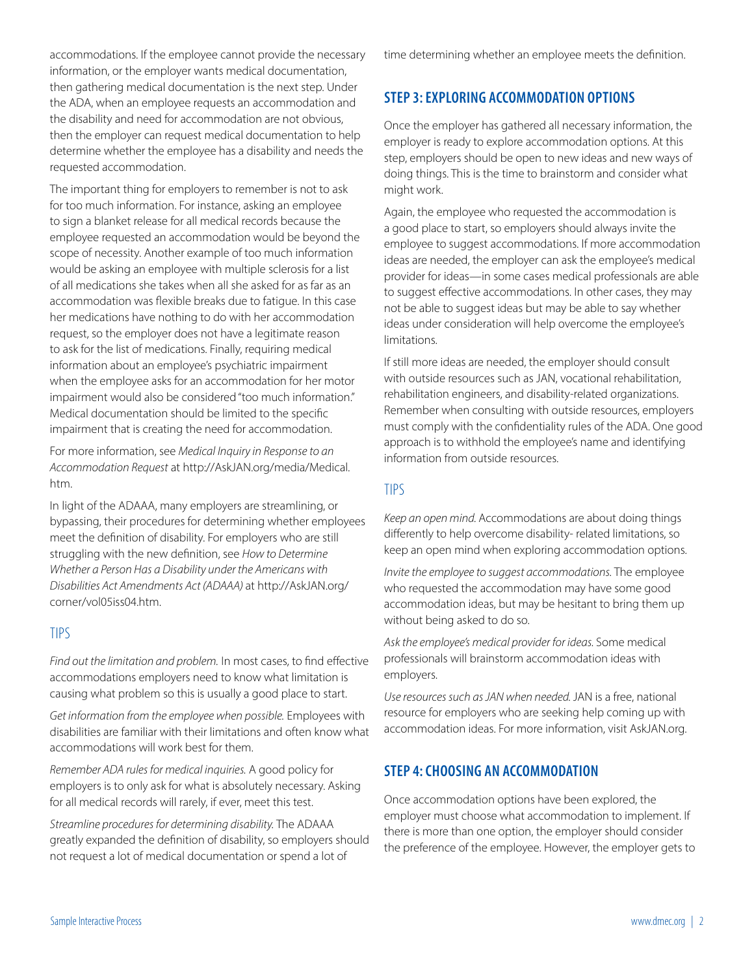accommodations. If the employee cannot provide the necessary information, or the employer wants medical documentation, then gathering medical documentation is the next step. Under the ADA, when an employee requests an accommodation and the disability and need for accommodation are not obvious, then the employer can request medical documentation to help determine whether the employee has a disability and needs the requested accommodation.

The important thing for employers to remember is not to ask for too much information. For instance, asking an employee to sign a blanket release for all medical records because the employee requested an accommodation would be beyond the scope of necessity. Another example of too much information would be asking an employee with multiple sclerosis for a list of all medications she takes when all she asked for as far as an accommodation was flexible breaks due to fatigue. In this case her medications have nothing to do with her accommodation request, so the employer does not have a legitimate reason to ask for the list of medications. Finally, requiring medical information about an employee's psychiatric impairment when the employee asks for an accommodation for her motor impairment would also be considered "too much information." Medical documentation should be limited to the specific impairment that is creating the need for accommodation.

For more information, see *Medical Inquiry in Response to an Accommodation Request* at http://AskJAN.org/media/Medical. htm.

In light of the ADAAA, many employers are streamlining, or bypassing, their procedures for determining whether employees meet the definition of disability. For employers who are still struggling with the new definition, see *How to Determine Whether a Person Has a Disability under the Americans with Disabilities Act Amendments Act (ADAAA)* at http://AskJAN.org/ corner/vol05iss04.htm.

### TIPS

*Find out the limitation and problem.* In most cases, to find effective accommodations employers need to know what limitation is causing what problem so this is usually a good place to start.

*Get information from the employee when possible.* Employees with disabilities are familiar with their limitations and often know what accommodations will work best for them.

*Remember ADA rules for medical inquiries.* A good policy for employers is to only ask for what is absolutely necessary. Asking for all medical records will rarely, if ever, meet this test.

*Streamline procedures for determining disability.* The ADAAA greatly expanded the definition of disability, so employers should not request a lot of medical documentation or spend a lot of

time determining whether an employee meets the definition.

## **STEP 3: EXPLORING ACCOMMODATION OPTIONS**

Once the employer has gathered all necessary information, the employer is ready to explore accommodation options. At this step, employers should be open to new ideas and new ways of doing things. This is the time to brainstorm and consider what might work.

Again, the employee who requested the accommodation is a good place to start, so employers should always invite the employee to suggest accommodations. If more accommodation ideas are needed, the employer can ask the employee's medical provider for ideas—in some cases medical professionals are able to suggest effective accommodations. In other cases, they may not be able to suggest ideas but may be able to say whether ideas under consideration will help overcome the employee's limitations.

If still more ideas are needed, the employer should consult with outside resources such as JAN, vocational rehabilitation, rehabilitation engineers, and disability-related organizations. Remember when consulting with outside resources, employers must comply with the confidentiality rules of the ADA. One good approach is to withhold the employee's name and identifying information from outside resources.

### TIPS

*Keep an open mind.* Accommodations are about doing things differently to help overcome disability- related limitations, so keep an open mind when exploring accommodation options.

*Invite the employee to suggest accommodations.* The employee who requested the accommodation may have some good accommodation ideas, but may be hesitant to bring them up without being asked to do so.

*Ask the employee's medical provider for ideas.* Some medical professionals will brainstorm accommodation ideas with employers.

*Use resources such as JAN when needed.* JAN is a free, national resource for employers who are seeking help coming up with accommodation ideas. For more information, visit AskJAN.org.

### **STEP 4: CHOOSING AN ACCOMMODATION**

Once accommodation options have been explored, the employer must choose what accommodation to implement. If there is more than one option, the employer should consider the preference of the employee. However, the employer gets to